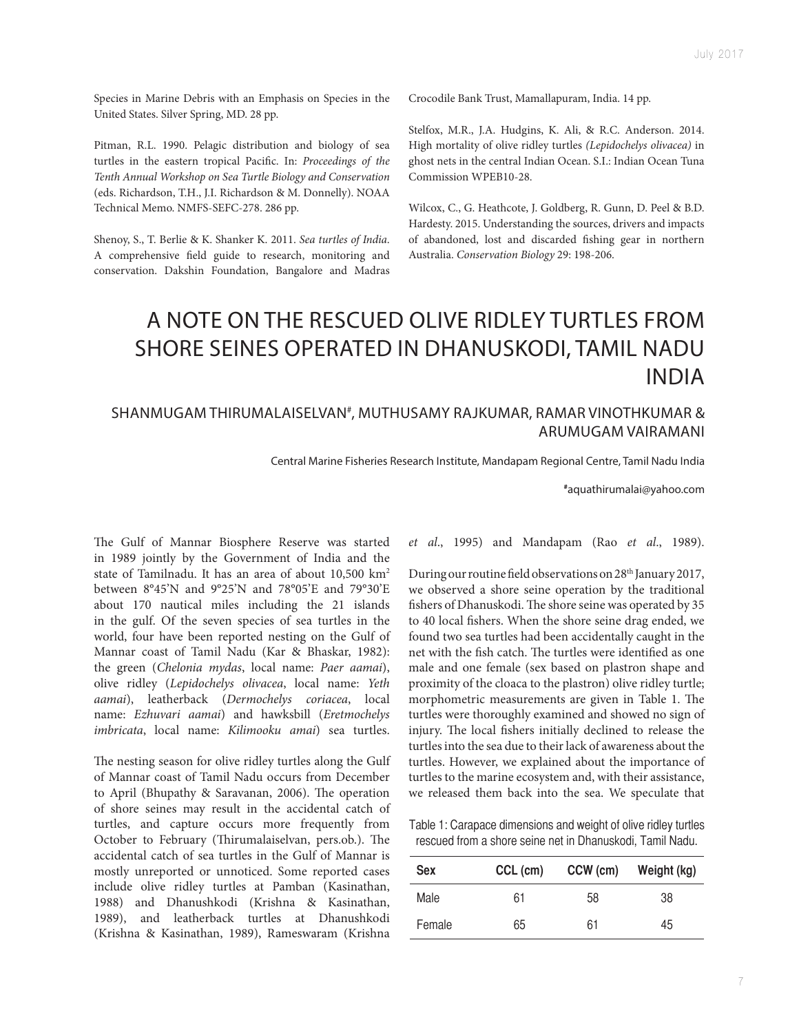Species in Marine Debris with an Emphasis on Species in the United States. Silver Spring, MD. 28 pp.

Pitman, R.L. 1990. Pelagic distribution and biology of sea turtles in the eastern tropical Pacifc. In: *Proceedings of the Tenth Annual Workshop on Sea Turtle Biology and Conservation* (eds. Richardson, T.H., J.I. Richardson & M. Donnelly). NOAA Technical Memo. NMFS-SEFC-278. 286 pp.

Shenoy, S., T. Berlie & K. Shanker K. 2011. *Sea turtles of India*. A comprehensive feld guide to research, monitoring and conservation. Dakshin Foundation, Bangalore and Madras Crocodile Bank Trust, Mamallapuram, India. 14 pp.

Stelfox, M.R., J.A. Hudgins, K. Ali, & R.C. Anderson. 2014. High mortality of olive ridley turtles *(Lepidochelys olivacea)* in ghost nets in the central Indian Ocean. S.I.: Indian Ocean Tuna Commission WPEB10-28.

Wilcox, C., G. Heathcote, J. Goldberg, R. Gunn, D. Peel & B.D. Hardesty. 2015. Understanding the sources, drivers and impacts of abandoned, lost and discarded fshing gear in northern Australia. *Conservation Biology* 29: 198-206.

## A NOTE ON THE RESCUED OLIVE RIDLEY TURTLES FROM SHORE SEINES OPERATED IN DHANUSKODI, TAMIL NADU INDIA

## SHANMUGAM THIRUMALAISELVAN#, MUTHUSAMY RAJKUMAR, RAMAR VINOTHKUMAR & ARUMUGAM VAIRAMANI

Central Marine Fisheries Research Institute, Mandapam Regional Centre, Tamil Nadu India

**#** aquathirumalai@yahoo.com

The Gulf of Mannar Biosphere Reserve was started in 1989 jointly by the Government of India and the state of Tamilnadu. It has an area of about 10,500 km2 between 8°45'N and 9°25'N and 78°05'E and 79°30'E about 170 nautical miles including the 21 islands in the gulf. Of the seven species of sea turtles in the world, four have been reported nesting on the Gulf of Mannar coast of Tamil Nadu (Kar & Bhaskar, 1982): the green (*Chelonia mydas*, local name: *Paer aamai*), olive ridley (*Lepidochelys olivacea*, local name: *Yeth aamai*), leatherback (*Dermochelys coriacea*, local name: *Ezhuvari aamai*) and hawksbill (*Eretmochelys imbricata*, local name: *Kilimooku amai*) sea turtles.

The nesting season for olive ridley turtles along the Gulf of Mannar coast of Tamil Nadu occurs from December to April (Bhupathy & Saravanan, 2006). The operation of shore seines may result in the accidental catch of turtles, and capture occurs more frequently from October to February (Thirumalaiselvan, pers.ob.). The accidental catch of sea turtles in the Gulf of Mannar is mostly unreported or unnoticed. Some reported cases include olive ridley turtles at Pamban (Kasinathan, 1988) and Dhanushkodi (Krishna & Kasinathan, 1989), and leatherback turtles at Dhanushkodi (Krishna & Kasinathan, 1989), Rameswaram (Krishna

*et al*., 1995) and Mandapam (Rao *et al*., 1989).

During our routine field observations on 28<sup>th</sup> January 2017, we observed a shore seine operation by the traditional fishers of Dhanuskodi. The shore seine was operated by 35 to 40 local fshers. When the shore seine drag ended, we found two sea turtles had been accidentally caught in the net with the fish catch. The turtles were identified as one male and one female (sex based on plastron shape and proximity of the cloaca to the plastron) olive ridley turtle; morphometric measurements are given in Table 1. The turtles were thoroughly examined and showed no sign of injury. The local fishers initially declined to release the turtles into the sea due to their lack of awareness about the turtles. However, we explained about the importance of turtles to the marine ecosystem and, with their assistance, we released them back into the sea. We speculate that

Table 1: Carapace dimensions and weight of olive ridley turtles rescued from a shore seine net in Dhanuskodi, Tamil Nadu.

| <b>Sex</b> | CCL (cm) | CCW (cm) | Weight (kg) |
|------------|----------|----------|-------------|
| Male       | 61       | 58       | 38          |
| Female     | 65       | 61       | 45          |